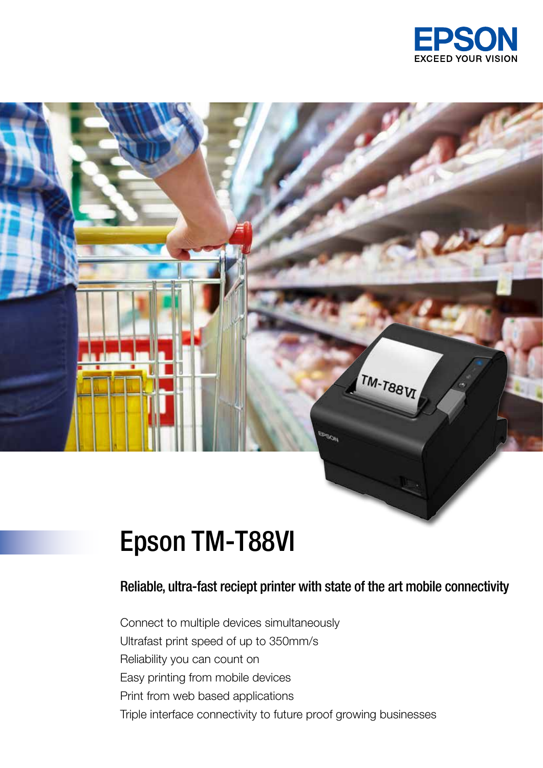

# Epson TM-T88VI

### Reliable, ultra-fast reciept printer with state of the art mobile connectivity

TM-T88VI

Connect to multiple devices simultaneously Ultrafast print speed of up to 350mm/s Reliability you can count on Easy printing from mobile devices Print from web based applications Triple interface connectivity to future proof growing businesses